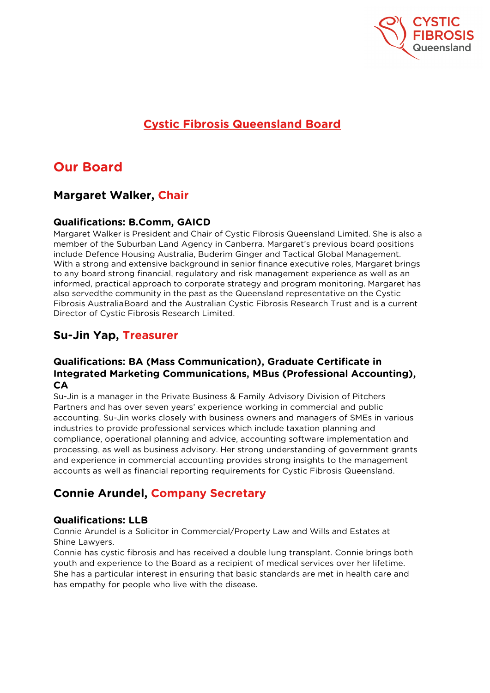

# **Cystic Fibrosis Queensland Board**

# **Our Board**

### **Margaret Walker, Chair**

#### **Qualifications: B.Comm, GAICD**

Margaret Walker is President and Chair of Cystic Fibrosis Queensland Limited. She is also a member of the Suburban Land Agency in Canberra. Margaret's previous board positions include Defence Housing Australia, Buderim Ginger and Tactical Global Management. With a strong and extensive background in senior finance executive roles, Margaret brings to any board strong financial, regulatory and risk management experience as well as an informed, practical approach to corporate strategy and program monitoring. Margaret has also servedthe community in the past as the Queensland representative on the Cystic Fibrosis AustraliaBoard and the Australian Cystic Fibrosis Research Trust and is a current Director of Cystic Fibrosis Research Limited.

### **Su-Jin Yap, Treasurer**

#### **Qualifications: BA (Mass Communication), Graduate Certificate in Integrated Marketing Communications, MBus (Professional Accounting), CA**

Su-Jin is a manager in the Private Business & Family Advisory Division of Pitchers Partners and has over seven years' experience working in commercial and public accounting. Su-Jin works closely with business owners and managers of SMEs in various industries to provide professional services which include taxation planning and compliance, operational planning and advice, accounting software implementation and processing, as well as business advisory. Her strong understanding of government grants and experience in commercial accounting provides strong insights to the management accounts as well as financial reporting requirements for Cystic Fibrosis Queensland.

## **Connie Arundel, Company Secretary**

#### **Qualifications: LLB**

Connie Arundel is a Solicitor in Commercial/Property Law and Wills and Estates at Shine Lawyers.

Connie has cystic fibrosis and has received a double lung transplant. Connie brings both youth and experience to the Board as a recipient of medical services over her lifetime. She has a particular interest in ensuring that basic standards are met in health care and has empathy for people who live with the disease.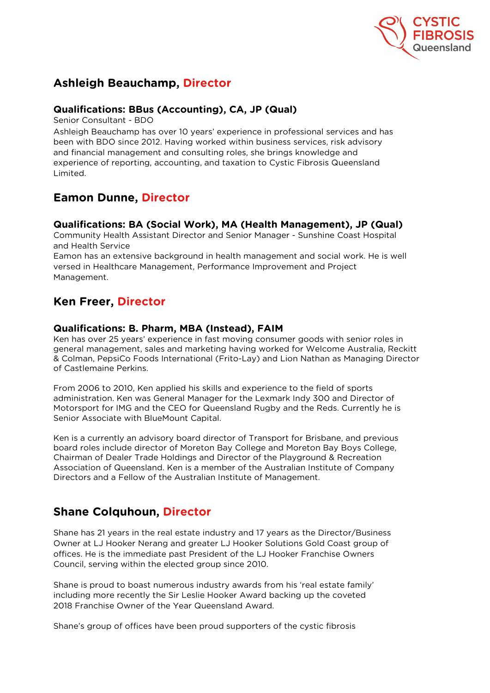

## **Ashleigh Beauchamp, Director**

#### **Qualifications: BBus (Accounting), CA, JP (Qual)**

Senior Consultant - BDO

Ashleigh Beauchamp has over 10 years' experience in professional services and has been with BDO since 2012. Having worked within business services, risk advisory and financial management and consulting roles, she brings knowledge and experience of reporting, accounting, and taxation to Cystic Fibrosis Queensland Limited.

## **Eamon Dunne, Director**

#### **Qualifications: BA (Social Work), MA (Health Management), JP (Qual)**

Community Health Assistant Director and Senior Manager - Sunshine Coast Hospital and Health Service

Eamon has an extensive background in health management and social work. He is well versed in Healthcare Management, Performance Improvement and Project Management.

## **Ken Freer, Director**

#### **Qualifications: B. Pharm, MBA (Instead), FAIM**

Ken has over 25 years' experience in fast moving consumer goods with senior roles in general management, sales and marketing having worked for Welcome Australia, Reckitt & Colman, PepsiCo Foods International (Frito-Lay) and Lion Nathan as Managing Director of Castlemaine Perkins.

From 2006 to 2010, Ken applied his skills and experience to the field of sports administration. Ken was General Manager for the Lexmark Indy 300 and Director of Motorsport for IMG and the CEO for Queensland Rugby and the Reds. Currently he is Senior Associate with BlueMount Capital.

Ken is a currently an advisory board director of Transport for Brisbane, and previous board roles include director of Moreton Bay College and Moreton Bay Boys College, Chairman of Dealer Trade Holdings and Director of the Playground & Recreation Association of Queensland. Ken is a member of the Australian Institute of Company Directors and a Fellow of the Australian Institute of Management.

## **Shane Colquhoun, Director**

Shane has 21 years in the real estate industry and 17 years as the Director/Business Owner at LJ Hooker Nerang and greater LJ Hooker Solutions Gold Coast group of offices. He is the immediate past President of the LJ Hooker Franchise Owners Council, serving within the elected group since 2010.

Shane is proud to boast numerous industry awards from his 'real estate family' including more recently the Sir Leslie Hooker Award backing up the coveted 2018 Franchise Owner of the Year Queensland Award.

Shane's group of offices have been proud supporters of the cystic fibrosis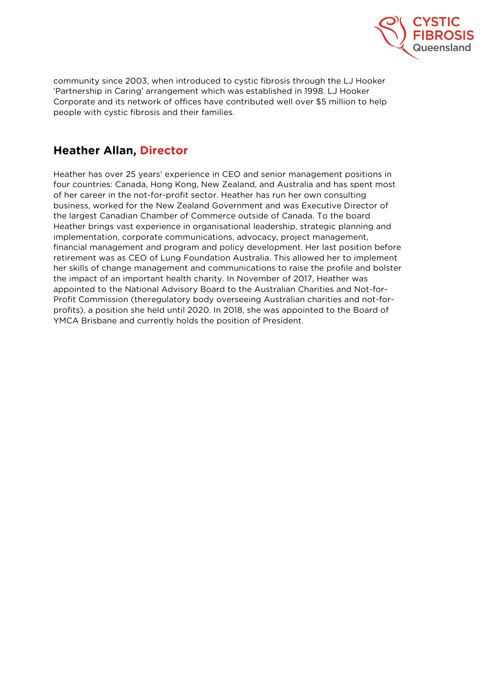

community since 2003, when introduced to cystic fibrosis through the LJ Hooker 'Partnership in Caring' arrangement which was established in 1998. LJ Hooker Corporate and its network of offices have contributed well over \$5 million to help people with cystic fibrosis and their families.

## **Heather Allan, Director**

Heather has over 25 years' experience in CEO and senior management positions in four countries: Canada, Hong Kong, New Zealand, and Australia and has spent most of her career in the not-for-profit sector. Heather has run her own consulting business, worked for the New Zealand Government and was Executive Director of the largest Canadian Chamber of Commerce outside of Canada. To the board Heather brings vast experience in organisational leadership, strategic planning and implementation, corporate communications, advocacy, project management, financial management and program and policy development. Her last position before retirement was as CEO of Lung Foundation Australia. This allowed her to implement her skills of change management and communications to raise the profile and bolster the impact of an important health charity. In November of 2017, Heather was appointed to the National Advisory Board to the Australian Charities and Not-for-Profit Commission (theregulatory body overseeing Australian charities and not-forprofits), a position she held until 2020. In 2018, she was appointed to the Board of YMCA Brisbane and currently holds the position of President.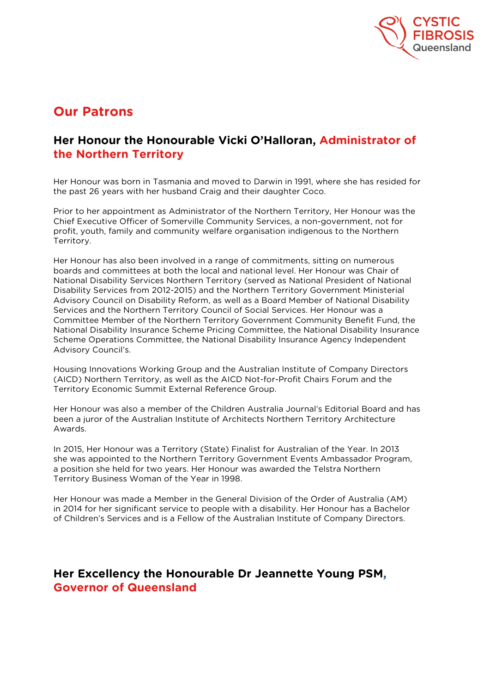

# **Our Patrons**

### **Her Honour the Honourable Vicki O'Halloran, Administrator of the Northern Territory**

Her Honour was born in Tasmania and moved to Darwin in 1991, where she has resided for the past 26 years with her husband Craig and their daughter Coco.

Prior to her appointment as Administrator of the Northern Territory, Her Honour was the Chief Executive Officer of Somerville Community Services, a non-government, not for profit, youth, family and community welfare organisation indigenous to the Northern Territory.

Her Honour has also been involved in a range of commitments, sitting on numerous boards and committees at both the local and national level. Her Honour was Chair of National Disability Services Northern Territory (served as National President of National Disability Services from 2012-2015) and the Northern Territory Government Ministerial Advisory Council on Disability Reform, as well as a Board Member of National Disability Services and the Northern Territory Council of Social Services. Her Honour was a Committee Member of the Northern Territory Government Community Benefit Fund, the National Disability Insurance Scheme Pricing Committee, the National Disability Insurance Scheme Operations Committee, the National Disability Insurance Agency Independent Advisory Council's.

Housing Innovations Working Group and the Australian Institute of Company Directors (AICD) Northern Territory, as well as the AICD Not-for-Profit Chairs Forum and the Territory Economic Summit External Reference Group.

Her Honour was also a member of the Children Australia Journal's Editorial Board and has been a juror of the Australian Institute of Architects Northern Territory Architecture Awards.

In 2015, Her Honour was a Territory (State) Finalist for Australian of the Year. In 2013 she was appointed to the Northern Territory Government Events Ambassador Program, a position she held for two years. Her Honour was awarded the Telstra Northern Territory Business Woman of the Year in 1998.

Her Honour was made a Member in the General Division of the Order of Australia (AM) in 2014 for her significant service to people with a disability. Her Honour has a Bachelor of Children's Services and is a Fellow of the Australian Institute of Company Directors.

### **Her Excellency the Honourable Dr Jeannette Young PSM, Governor of Queensland**